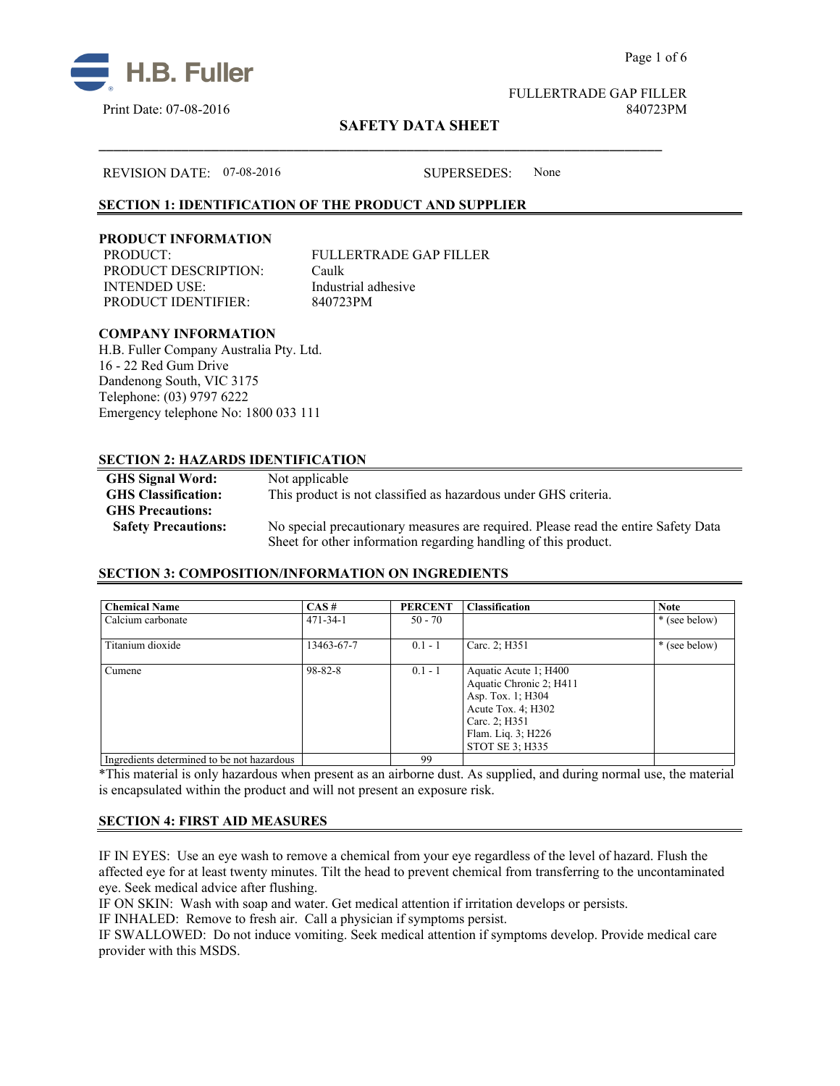



FULLERTRADE GAP FILLER Print Date: 07-08-2016 840723PM

Page 1 of 6

# **SAFETY DATA SHEET**

#### REVISION DATE: 07-08-2016 SUPERSEDES: None

## **SECTION 1: IDENTIFICATION OF THE PRODUCT AND SUPPLIER**

#### **PRODUCT INFORMATION**

PRODUCT: FULLERTRADE GAP FILLER PRODUCT DESCRIPTION: Caulk INTENDED USE: Industrial adhesive PRODUCT IDENTIFIER: 840723PM

\_\_\_\_\_\_\_\_\_\_\_\_\_\_\_\_\_\_\_\_\_\_\_\_\_\_\_\_\_\_\_\_\_\_\_\_\_\_\_\_\_\_\_\_\_\_\_\_\_\_\_\_\_\_\_\_\_\_\_\_\_\_\_\_\_\_\_\_\_\_\_\_\_\_\_

#### **COMPANY INFORMATION**

H.B. Fuller Company Australia Pty. Ltd. 16 - 22 Red Gum Drive Dandenong South, VIC 3175 Telephone: (03) 9797 6222 Emergency telephone No: 1800 033 111

## **SECTION 2: HAZARDS IDENTIFICATION**

| <b>GHS Signal Word:</b>    | Not applicable                                                                     |
|----------------------------|------------------------------------------------------------------------------------|
| <b>GHS</b> Classification: | This product is not classified as hazardous under GHS criteria.                    |
| <b>GHS Precautions:</b>    |                                                                                    |
| <b>Safety Precautions:</b> | No special precautionary measures are required. Please read the entire Safety Data |
|                            | Sheet for other information regarding handling of this product.                    |

## **SECTION 3: COMPOSITION/INFORMATION ON INGREDIENTS**

| <b>Chemical Name</b>                       | CAS#           | <b>PERCENT</b> | Classification                                                                                                                                        | <b>Note</b>   |
|--------------------------------------------|----------------|----------------|-------------------------------------------------------------------------------------------------------------------------------------------------------|---------------|
| Calcium carbonate                          | $471 - 34 - 1$ | $50 - 70$      |                                                                                                                                                       | * (see below) |
| Titanium dioxide                           | 13463-67-7     | $0.1 - 1$      | Carc. 2; H351                                                                                                                                         | * (see below) |
| Cumene                                     | $98 - 82 - 8$  | $0.1 - 1$      | Aquatic Acute 1; H400<br>Aquatic Chronic 2; H411<br>Asp. Tox. 1; H304<br>Acute Tox. 4; H302<br>Carc. 2; H351<br>Flam. Liq. 3; H226<br>STOT SE 3: H335 |               |
| Ingredients determined to be not hazardous |                | 99             |                                                                                                                                                       |               |

\*This material is only hazardous when present as an airborne dust. As supplied, and during normal use, the material is encapsulated within the product and will not present an exposure risk.

## **SECTION 4: FIRST AID MEASURES**

IF IN EYES: Use an eye wash to remove a chemical from your eye regardless of the level of hazard. Flush the affected eye for at least twenty minutes. Tilt the head to prevent chemical from transferring to the uncontaminated eye. Seek medical advice after flushing.

IF ON SKIN: Wash with soap and water. Get medical attention if irritation develops or persists.

IF INHALED: Remove to fresh air. Call a physician if symptoms persist.

IF SWALLOWED:Do not induce vomiting. Seek medical attention if symptoms develop. Provide medical care provider with this MSDS.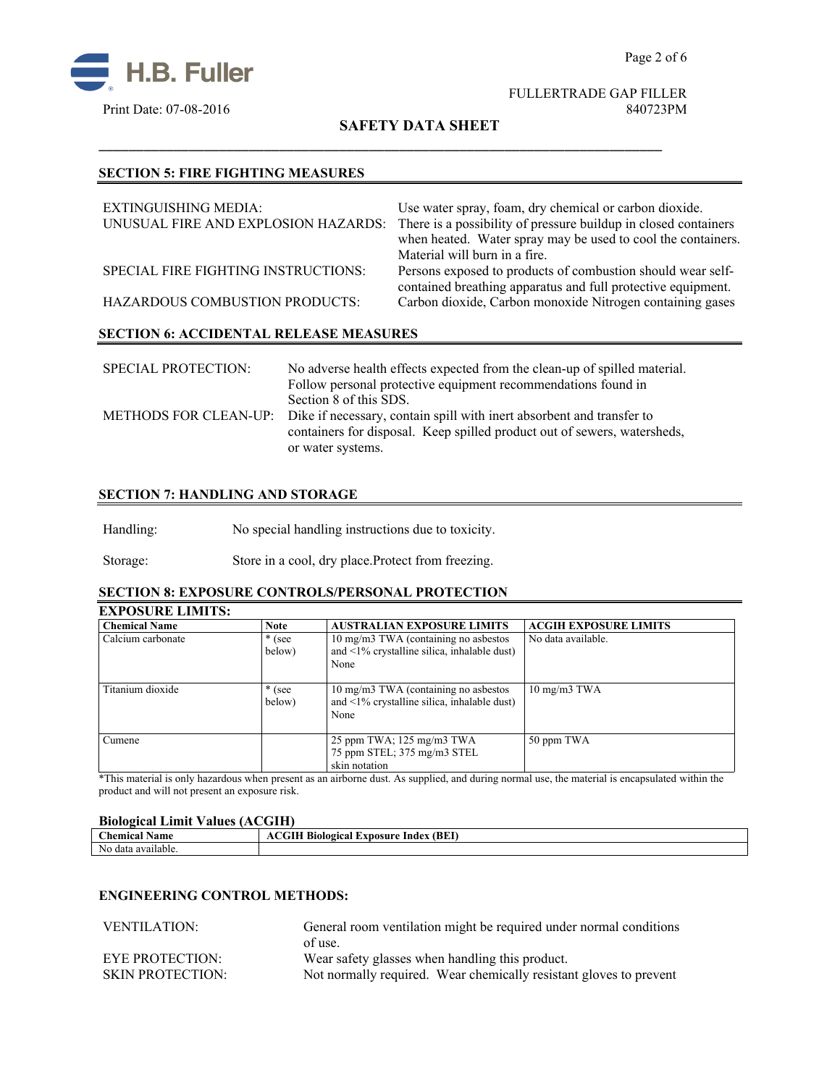



FULLERTRADE GAP FILLER

**SAFETY DATA SHEET**

\_\_\_\_\_\_\_\_\_\_\_\_\_\_\_\_\_\_\_\_\_\_\_\_\_\_\_\_\_\_\_\_\_\_\_\_\_\_\_\_\_\_\_\_\_\_\_\_\_\_\_\_\_\_\_\_\_\_\_\_\_\_\_\_\_\_\_\_\_\_\_\_\_\_\_

## **SECTION 5: FIRE FIGHTING MEASURES**

| EXTINGUISHING MEDIA:<br>UNUSUAL FIRE AND EXPLOSION HAZARDS: | Use water spray, foam, dry chemical or carbon dioxide.<br>There is a possibility of pressure buildup in closed containers<br>when heated. Water spray may be used to cool the containers.<br>Material will burn in a fire. |  |
|-------------------------------------------------------------|----------------------------------------------------------------------------------------------------------------------------------------------------------------------------------------------------------------------------|--|
| SPECIAL FIRE FIGHTING INSTRUCTIONS:                         | Persons exposed to products of combustion should wear self-<br>contained breathing apparatus and full protective equipment.                                                                                                |  |
| <b>HAZARDOUS COMBUSTION PRODUCTS:</b>                       | Carbon dioxide, Carbon monoxide Nitrogen containing gases                                                                                                                                                                  |  |
| <b>SECTION 6: ACCIDENTAL RELEASE MEASURES</b>               |                                                                                                                                                                                                                            |  |
|                                                             |                                                                                                                                                                                                                            |  |

| <b>SPECIAL PROTECTION:</b> | No adverse health effects expected from the clean-up of spilled material.<br>Follow personal protective equipment recommendations found in                              |
|----------------------------|-------------------------------------------------------------------------------------------------------------------------------------------------------------------------|
|                            | Section 8 of this SDS.                                                                                                                                                  |
|                            | METHODS FOR CLEAN-UP: Dike if necessary, contain spill with inert absorbent and transfer to<br>containers for disposal. Keep spilled product out of sewers, watersheds, |
|                            | or water systems.                                                                                                                                                       |

## **SECTION 7: HANDLING AND STORAGE**

Handling: No special handling instructions due to toxicity.

Storage: Store in a cool, dry place.Protect from freezing.

# **SECTION 8: EXPOSURE CONTROLS/PERSONAL PROTECTION**

# **EXPOSURE LIMITS:**

| <b>Chemical Name</b> | <b>Note</b> | <b>AUSTRALIAN EXPOSURE LIMITS</b>                 | <b>ACGIH EXPOSURE LIMITS</b>      |
|----------------------|-------------|---------------------------------------------------|-----------------------------------|
| Calcium carbonate    | $*$ (see    | 10 mg/m3 TWA (containing no asbestos)             | No data available.                |
|                      | below)      | and $\leq$ 1% crystalline silica, inhalable dust) |                                   |
|                      |             | None                                              |                                   |
|                      |             |                                                   |                                   |
| Titanium dioxide     | $*$ (see    | 10 mg/m3 TWA (containing no asbestos)             | $10 \text{ mg/m}$ $3 \text{ TWA}$ |
|                      | below)      | and $\leq$ 1% crystalline silica, inhalable dust) |                                   |
|                      |             | None                                              |                                   |
|                      |             |                                                   |                                   |
| Cumene               |             | 25 ppm TWA; $125 \text{ mg/m}$ 3 TWA              | 50 ppm TWA                        |
|                      |             | 75 ppm STEL; 375 mg/m3 STEL                       |                                   |
|                      |             | skin notation                                     |                                   |

\*This material is only hazardous when present as an airborne dust. As supplied, and during normal use, the material is encapsulated within the product and will not present an exposure risk.

#### **Biological Limit Values (ACGIH)**

| ----------<br>-------            | ------------                                      |
|----------------------------------|---------------------------------------------------|
| $\sim$<br><b>hemical</b><br>Name | (BEI<br>. Biological Exposure<br>Index<br>- VIII. |
| No data<br>available             |                                                   |

#### **ENGINEERING CONTROL METHODS:**

| <b>VENTILATION:</b>     | General room ventilation might be required under normal conditions |  |
|-------------------------|--------------------------------------------------------------------|--|
|                         | of use.                                                            |  |
| EYE PROTECTION:         | Wear safety glasses when handling this product.                    |  |
| <b>SKIN PROTECTION:</b> | Not normally required. Wear chemically resistant gloves to prevent |  |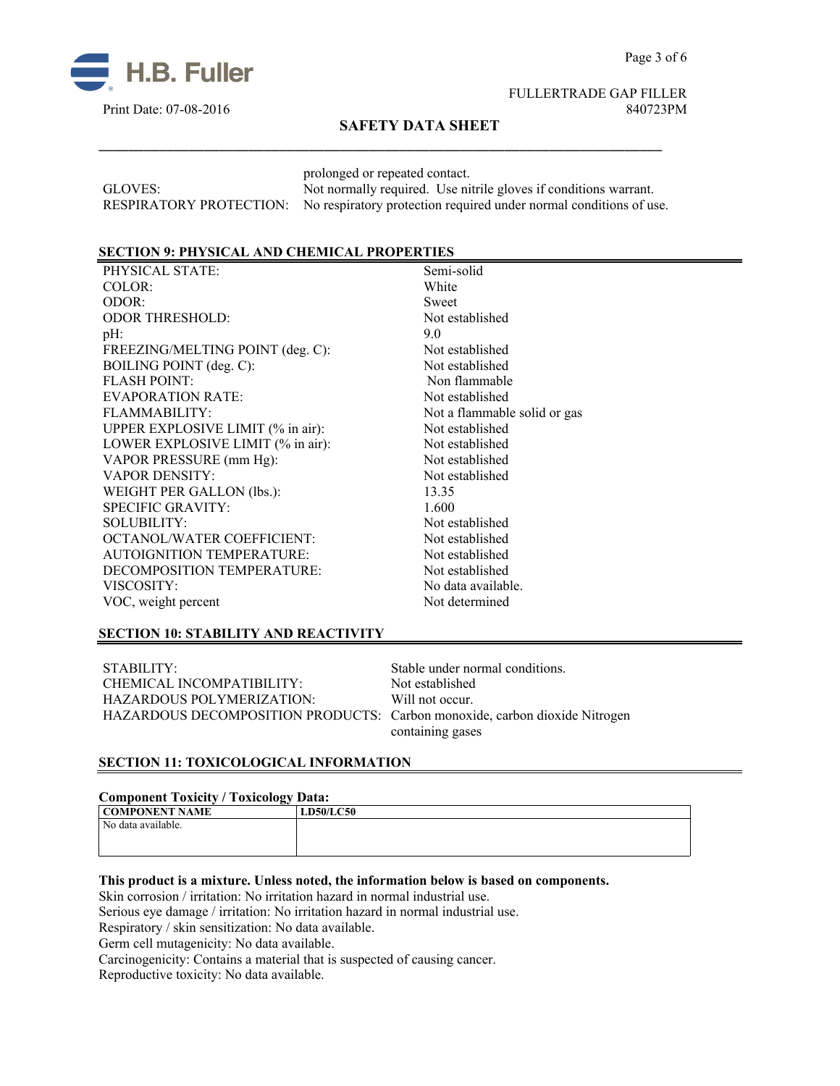

## FULLERTRADE GAP FILLER Print Date: 07-08-2016 840723PM

## **SAFETY DATA SHEET**

\_\_\_\_\_\_\_\_\_\_\_\_\_\_\_\_\_\_\_\_\_\_\_\_\_\_\_\_\_\_\_\_\_\_\_\_\_\_\_\_\_\_\_\_\_\_\_\_\_\_\_\_\_\_\_\_\_\_\_\_\_\_\_\_\_\_\_\_\_\_\_\_\_\_\_

prolonged or repeated contact. GLOVES: Not normally required. Use nitrile gloves if conditions warrant. RESPIRATORY PROTECTION: No respiratory protection required under normal conditions of use.

#### **SECTION 9: PHYSICAL AND CHEMICAL PROPERTIES**

PHYSICAL STATE: Semi-solid COLOR: White ODOR: Sweet ODOR THRESHOLD: Not established  $pH:$  9.0 FREEZING/MELTING POINT (deg. C): Not established BOILING POINT (deg. C): Not established FLASH POINT: Non flammable EVAPORATION RATE: Not established FLAMMABILITY: Not a flammable solid or gas UPPER EXPLOSIVE LIMIT (% in air): Not established LOWER EXPLOSIVE LIMIT (% in air): Not established VAPOR PRESSURE (mm Hg): Not established VAPOR DENSITY: Not established WEIGHT PER GALLON (lbs.): 13.35 SPECIFIC GRAVITY: 1.600 SOLUBILITY: Not established OCTANOL/WATER COEFFICIENT: Not established AUTOIGNITION TEMPERATURE: Not established DECOMPOSITION TEMPERATURE: Not established VISCOSITY: No data available. VOC, weight percent Not determined

## **SECTION 10: STABILITY AND REACTIVITY**

STABILITY: Stable under normal conditions. CHEMICAL INCOMPATIBILITY: Not established HAZARDOUS POLYMERIZATION: Will not occur. HAZARDOUS DECOMPOSITION PRODUCTS: Carbon monoxide, carbon dioxide Nitrogen

containing gases

## **SECTION 11: TOXICOLOGICAL INFORMATION**

#### **Component Toxicity / Toxicology Data:**

| ு உருவ<br>COMPONENT NAME | <b>LD50/LC50</b> |
|--------------------------|------------------|
| No data available.       |                  |
|                          |                  |
|                          |                  |

### **This product is a mixture. Unless noted, the information below is based on components.**

Skin corrosion / irritation: No irritation hazard in normal industrial use.

Serious eye damage / irritation: No irritation hazard in normal industrial use.

Respiratory / skin sensitization: No data available.

Germ cell mutagenicity: No data available.

Carcinogenicity: Contains a material that is suspected of causing cancer.

Reproductive toxicity: No data available.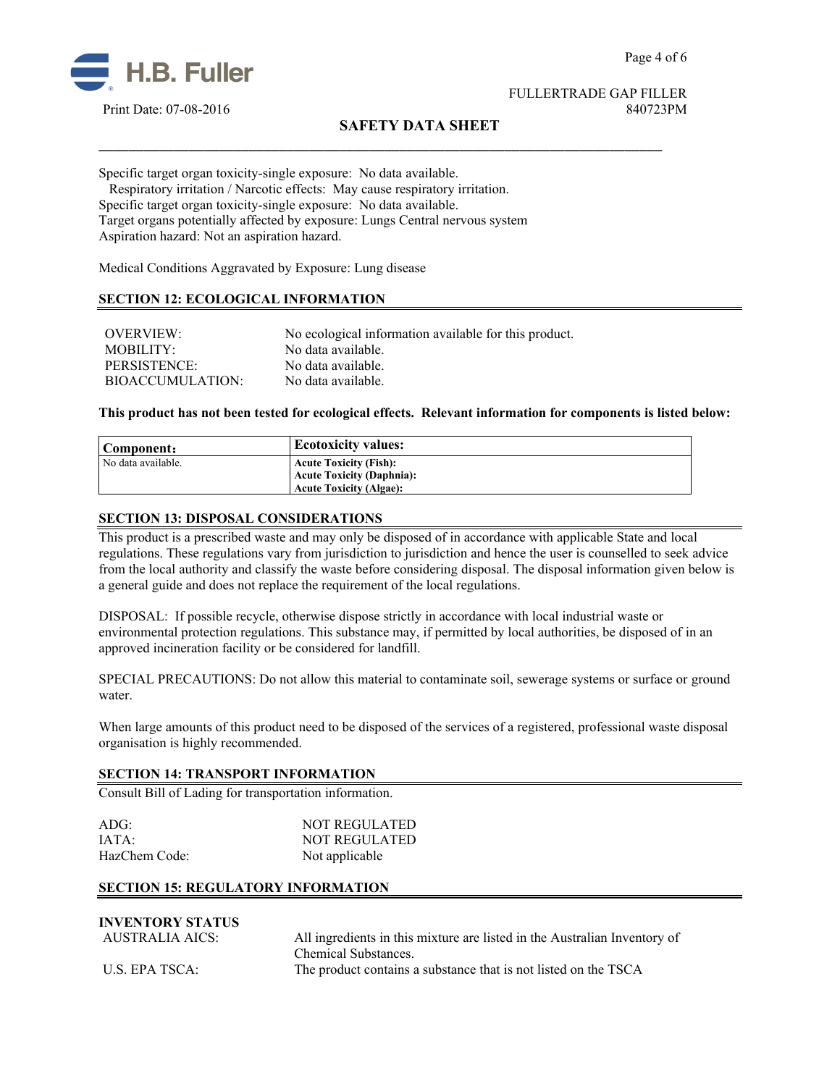

FULLERTRADE GAP FILLER Print Date: 07-08-2016 840723PM

# **SAFETY DATA SHEET**

\_\_\_\_\_\_\_\_\_\_\_\_\_\_\_\_\_\_\_\_\_\_\_\_\_\_\_\_\_\_\_\_\_\_\_\_\_\_\_\_\_\_\_\_\_\_\_\_\_\_\_\_\_\_\_\_\_\_\_\_\_\_\_\_\_\_\_\_\_\_\_\_\_\_\_

Specific target organ toxicity-single exposure:No data available.

 Respiratory irritation / Narcotic effects: May cause respiratory irritation. Specific target organ toxicity-single exposure:No data available. Target organs potentially affected by exposure: Lungs Central nervous system Aspiration hazard: Not an aspiration hazard.

Medical Conditions Aggravated by Exposure: Lung disease

## **SECTION 12: ECOLOGICAL INFORMATION**

| <b>OVERVIEW:</b>        | No ecological information available for this product. |
|-------------------------|-------------------------------------------------------|
| MOBILITY:               | No data available.                                    |
| PERSISTENCE:            | No data available.                                    |
| <b>BIOACCUMULATION:</b> | No data available.                                    |

**This product has not been tested for ecological effects. Relevant information for components is listed below:**

| Component:           | <b>Ecotoxicity values:</b>       |
|----------------------|----------------------------------|
| ' No data available. | <b>Acute Toxicity (Fish):</b>    |
|                      | <b>Acute Toxicity (Daphnia):</b> |
|                      | <b>Acute Toxicity (Algae):</b>   |

#### **SECTION 13: DISPOSAL CONSIDERATIONS**

This product is a prescribed waste and may only be disposed of in accordance with applicable State and local regulations. These regulations vary from jurisdiction to jurisdiction and hence the user is counselled to seek advice from the local authority and classify the waste before considering disposal. The disposal information given below is a general guide and does not replace the requirement of the local regulations.

DISPOSAL: If possible recycle, otherwise dispose strictly in accordance with local industrial waste or environmental protection regulations. This substance may, if permitted by local authorities, be disposed of in an approved incineration facility or be considered for landfill.

SPECIAL PRECAUTIONS: Do not allow this material to contaminate soil, sewerage systems or surface or ground water.

When large amounts of this product need to be disposed of the services of a registered, professional waste disposal organisation is highly recommended.

#### **SECTION 14: TRANSPORT INFORMATION**

Consult Bill of Lading for transportation information.

| $ADG$ :       | <b>NOT REGULATED</b> |
|---------------|----------------------|
| IATA:         | <b>NOT REGULATED</b> |
| HazChem Code: | Not applicable       |

#### **SECTION 15: REGULATORY INFORMATION**

| <b>INVENTORY STATUS</b> |                                                                           |
|-------------------------|---------------------------------------------------------------------------|
| AUSTRALIA AICS:         | All ingredients in this mixture are listed in the Australian Inventory of |
|                         | Chemical Substances.                                                      |
| U.S. EPA TSCA:          | The product contains a substance that is not listed on the TSCA           |
|                         |                                                                           |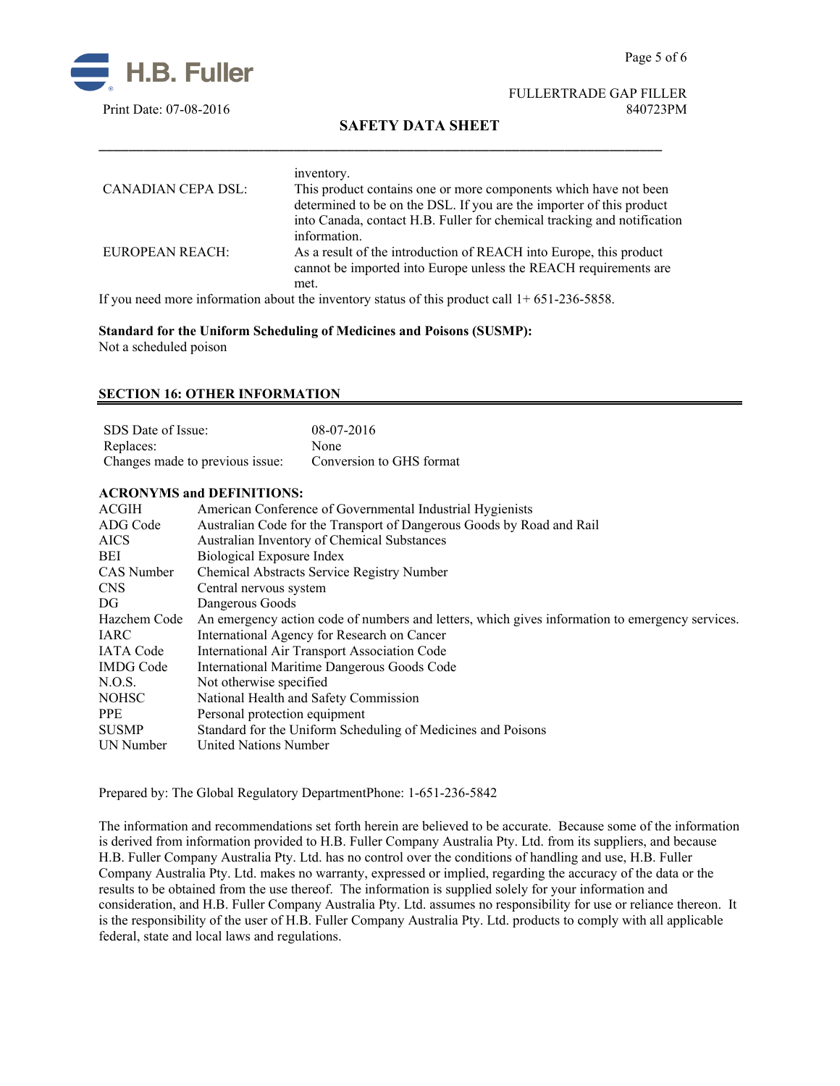

FULLERTRADE GAP FILLER

# **SAFETY DATA SHEET**

|                           | inventory.                                                                                                                                                                                                                                                                                                  |
|---------------------------|-------------------------------------------------------------------------------------------------------------------------------------------------------------------------------------------------------------------------------------------------------------------------------------------------------------|
| <b>CANADIAN CEPA DSL:</b> | This product contains one or more components which have not been                                                                                                                                                                                                                                            |
|                           | determined to be on the DSL. If you are the importer of this product                                                                                                                                                                                                                                        |
|                           | into Canada, contact H.B. Fuller for chemical tracking and notification<br>information.                                                                                                                                                                                                                     |
| <b>EUROPEAN REACH:</b>    | As a result of the introduction of REACH into Europe, this product<br>cannot be imported into Europe unless the REACH requirements are<br>met.                                                                                                                                                              |
|                           | $\mathbf{r}$ , $\mathbf{r}$ , $\mathbf{r}$ , $\mathbf{r}$ , $\mathbf{r}$ , $\mathbf{r}$ , $\mathbf{r}$ , $\mathbf{r}$ , $\mathbf{r}$ , $\mathbf{r}$ , $\mathbf{r}$ , $\mathbf{r}$ , $\mathbf{r}$ , $\mathbf{r}$ , $\mathbf{r}$ , $\mathbf{r}$ , $\mathbf{r}$ , $\mathbf{r}$ , $\mathbf{r}$ , $\mathbf{r}$ , |

\_\_\_\_\_\_\_\_\_\_\_\_\_\_\_\_\_\_\_\_\_\_\_\_\_\_\_\_\_\_\_\_\_\_\_\_\_\_\_\_\_\_\_\_\_\_\_\_\_\_\_\_\_\_\_\_\_\_\_\_\_\_\_\_\_\_\_\_\_\_\_\_\_\_\_

If you need more information about the inventory status of this product call  $1+651-236-5858$ .

**Standard for the Uniform Scheduling of Medicines and Poisons (SUSMP):** Not a scheduled poison

#### **SECTION 16: OTHER INFORMATION**

| SDS Date of Issue:              | $08-07-2016$             |
|---------------------------------|--------------------------|
| Replaces:                       | <b>None</b>              |
| Changes made to previous issue: | Conversion to GHS format |

#### **ACRONYMS and DEFINITIONS:**

| <b>ACGIH</b>     | American Conference of Governmental Industrial Hygienists                                       |
|------------------|-------------------------------------------------------------------------------------------------|
| ADG Code         | Australian Code for the Transport of Dangerous Goods by Road and Rail                           |
| <b>AICS</b>      | Australian Inventory of Chemical Substances                                                     |
| BEI              | Biological Exposure Index                                                                       |
| CAS Number       | Chemical Abstracts Service Registry Number                                                      |
| CNS              | Central nervous system                                                                          |
| DG               | Dangerous Goods                                                                                 |
| Hazchem Code     | An emergency action code of numbers and letters, which gives information to emergency services. |
| IARC             | International Agency for Research on Cancer                                                     |
| <b>IATA Code</b> | International Air Transport Association Code                                                    |
| <b>IMDG</b> Code | International Maritime Dangerous Goods Code                                                     |
| N.O.S.           | Not otherwise specified                                                                         |
| NOHSC            | National Health and Safety Commission                                                           |
| <b>PPE</b>       | Personal protection equipment                                                                   |
| <b>SUSMP</b>     | Standard for the Uniform Scheduling of Medicines and Poisons                                    |
| UN Number        | <b>United Nations Number</b>                                                                    |
|                  |                                                                                                 |

Prepared by: The Global Regulatory DepartmentPhone: 1-651-236-5842

The information and recommendations set forth herein are believed to be accurate. Because some of the information is derived from information provided to H.B. Fuller Company Australia Pty. Ltd. from its suppliers, and because H.B. Fuller Company Australia Pty. Ltd. has no control over the conditions of handling and use, H.B. Fuller Company Australia Pty. Ltd. makes no warranty, expressed or implied, regarding the accuracy of the data or the results to be obtained from the use thereof. The information is supplied solely for your information and consideration, and H.B. Fuller Company Australia Pty. Ltd. assumes no responsibility for use or reliance thereon. It is the responsibility of the user of H.B. Fuller Company Australia Pty. Ltd. products to comply with all applicable federal, state and local laws and regulations.